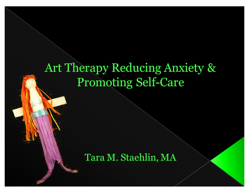## Art Therapy Reducing Anxiety & **Promoting Self-Care**

### Tara M. Staehlin, MA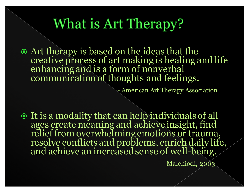## What is Art Therapy?

 Art therapy is based on the ideas that the creative process of art making is healing and life enhancing and is a form of nonverbal communication of thoughts and feelings.

- American Art Therapy Association

 $\odot$  It is a modality that can help individuals of all ages create meaning and achieve insight, find relief from overwhelming emotions or trauma, resolve conflicts and problems, enrich daily life, and achieve an increased sense of well-being.

- Malchiodi, 2003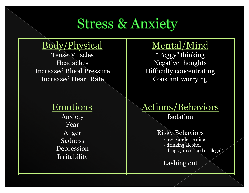## **Stress & Anxiety**

### Body/Physical

Tense Muscles Headaches Increased Blood Pressure Increased Heart Rate

### Mental/Mind

"Foggy" thinking Negative thoughts Difficulty concentrating Constant worrying

### Emotions

Anxiety Fear Anger Sadness Depression Irritability

#### Actions/Behaviors Isolation

#### Risky Behaviors

- over/under eating - drinking alcohol - drugs (prescribed or illegal)

#### Lashing out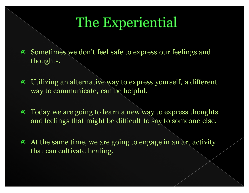## The Experiential

- Sometimes we don't feel safe to express our feelings and thoughts.
- Utilizing an alternative way to express yourself, a different way to communicate, can be helpful.
- Today we are going to learn a new way to express thoughts and feelings that might be difficult to say to someone else.
- At the same time, we are going to engage in an art activity that can cultivate healing.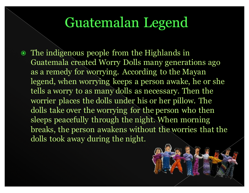## Guatemalan Legend

• The indigenous people from the Highlands in Guatemala created Worry Dolls many generations ago as a remedy for worrying. According to the Mayan legend, when worrying keeps a person awake, he or she tells a worry to as many dolls as necessary. Then the worrier places the dolls under his or her pillow. The dolls take over the worrying for the person who then sleeps peacefully through the night. When morning breaks, the person awakens without the worries that the dolls took away during the night.

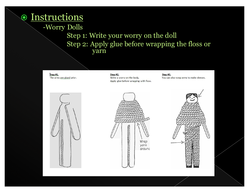### Instructions

-Worry Dolls

#### Step 1: Write your worry on the doll Step 2: Apply glue before wrapping the floss or yarn

Step #1. The arms are glued prior.

Step #2. Write a worry on the body. Apply glue before wrapping with floss.

Step #3. You can also wrap arms to make sleeves.